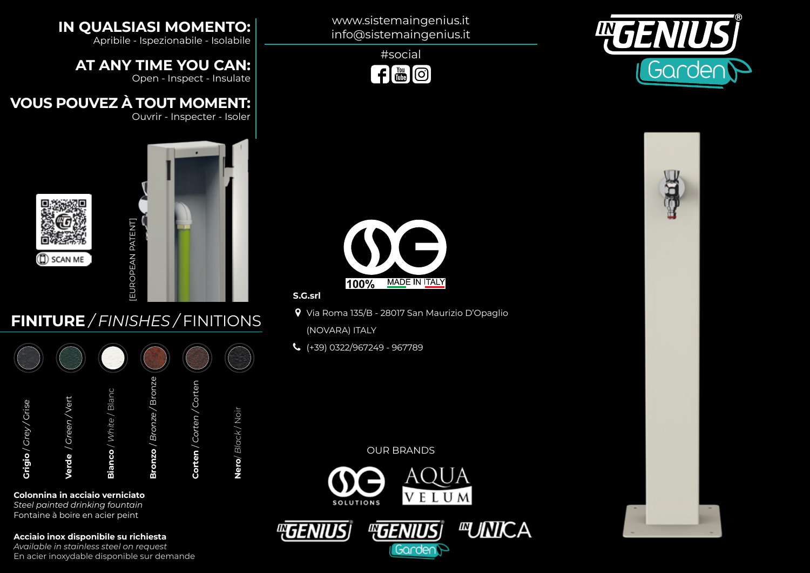



#social  $f$   $\frac{v_{01}}{100}$   $\odot$ 

www.sistemaingenius.it info@sistemaingenius.it

### **IN QUALSIASI MOMENTO:**

Apribile - Ispezionabile - Isolabile

**AT ANY TIME YOU CAN:**

Open - Inspect - Insulate

### **VOUS POUVEZ À TOUT MOMENT:**

Ouvrir - Inspecter - Isoler



# **FINITURE** */ FINISHES /* FINITIONS

| Grigio / Crey / Crise      |  |
|----------------------------|--|
| Vert<br>Green/<br>Verde    |  |
| / White / Blanc<br>Bianco  |  |
| Bronze<br>Bronzo / Bronze  |  |
| /Cortei<br>Corten / Corten |  |
| Nero/Black/Noir            |  |
|                            |  |

#### **Colonnina in acciaio verniciato**

*Steel painted drinking fountain* Fontaine à boire en acier peint

**Acciaio inox disponibile su richiesta**

*Available in stainless steel on request* En acier inoxydable disponible sur demande



**S.G.srl**

- Via Roma 135/B 28017 San Maurizio D'Opaglio (NOVARA) ITALY
- (+39) 0322/967249 967789

#### OUR BRANDS



Garde